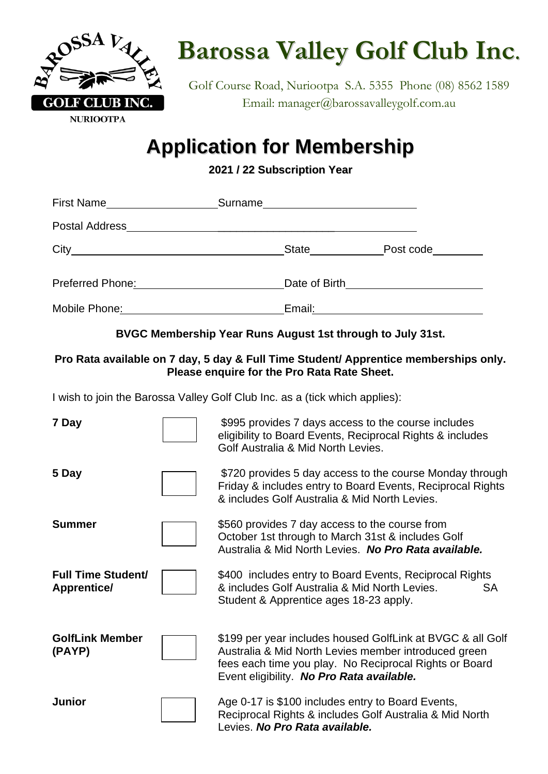

## **Barossa Valley Golf Club Inc**.

Golf Course Road, Nuriootpa S.A. 5355 Phone (08) 8562 1589 Email: manager@barossavalleygolf.com.au

## **Application for Membership**

**2021 / 22 Subscription Year**

| First Name       | Surname<br><u> 1989 - Johann John Stein, mars and de British and de British and de British and de British and de British and</u> |
|------------------|----------------------------------------------------------------------------------------------------------------------------------|
| Postal Address_  |                                                                                                                                  |
|                  | State<br>Post code_________                                                                                                      |
| Preferred Phone: |                                                                                                                                  |
| Mobile Phone:    | Email:                                                                                                                           |

**BVGC Membership Year Runs August 1st through to July 31st.**

#### **Pro Rata available on 7 day, 5 day & Full Time Student/ Apprentice memberships only. Please enquire for the Pro Rata Rate Sheet.**

I wish to join the Barossa Valley Golf Club Inc. as a (tick which applies):

| 7 Day                                           | \$995 provides 7 days access to the course includes<br>eligibility to Board Events, Reciprocal Rights & includes<br>Golf Australia & Mid North Levies.                                                                    |  |
|-------------------------------------------------|---------------------------------------------------------------------------------------------------------------------------------------------------------------------------------------------------------------------------|--|
| 5 Day                                           | \$720 provides 5 day access to the course Monday through<br>Friday & includes entry to Board Events, Reciprocal Rights<br>& includes Golf Australia & Mid North Levies.                                                   |  |
| <b>Summer</b>                                   | \$560 provides 7 day access to the course from<br>October 1st through to March 31st & includes Golf<br>Australia & Mid North Levies. No Pro Rata available.                                                               |  |
| <b>Full Time Student/</b><br><b>Apprentice/</b> | \$400 includes entry to Board Events, Reciprocal Rights<br>& includes Golf Australia & Mid North Levies.<br>SA<br>Student & Apprentice ages 18-23 apply.                                                                  |  |
| <b>GolfLink Member</b><br>(PAYP)                | \$199 per year includes housed GolfLink at BVGC & all Golf<br>Australia & Mid North Levies member introduced green<br>fees each time you play. No Reciprocal Rights or Board<br>Event eligibility. No Pro Rata available. |  |
| <b>Junior</b>                                   | Age 0-17 is \$100 includes entry to Board Events,<br>Reciprocal Rights & includes Golf Australia & Mid North<br>Levies. No Pro Rata available.                                                                            |  |